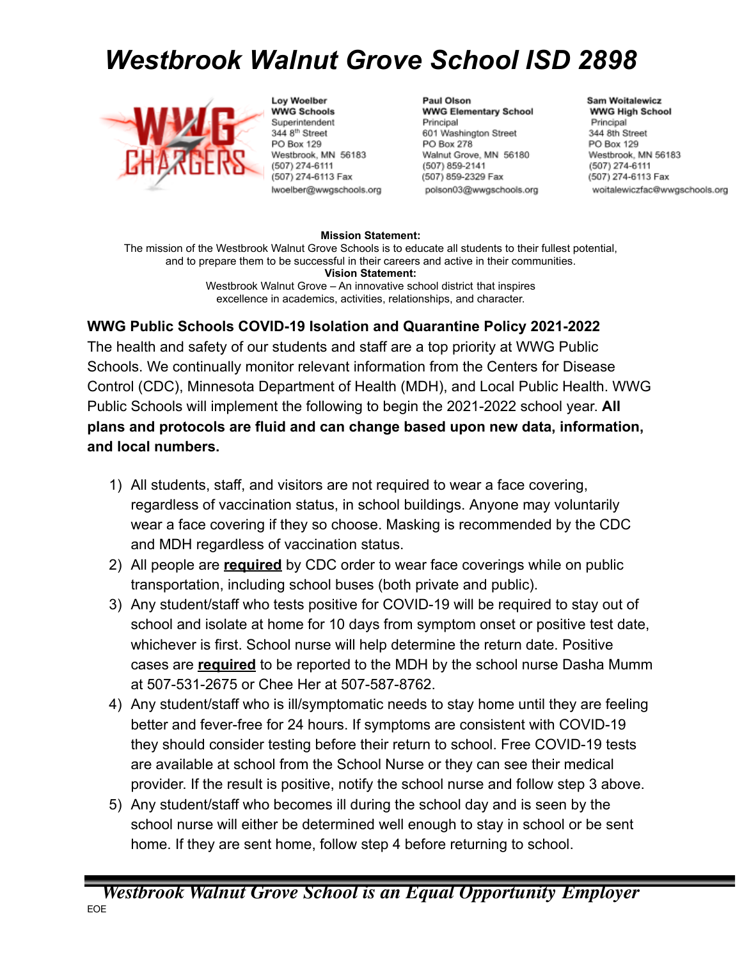## *Westbrook Walnut Grove School ISD 2898*



Loy Woelber **WWG Schools** Superintendent 344 8<sup>th</sup> Street PO Box 129 Westbrook, MN 56183 (507) 274-6111 (507) 274-6113 Fax hvoelber@wwgschools.org

Paul Olson **WWG Elementary School** Principal 601 Washington Street PO Box 278 Walnut Grove, MN 56180 (507) 859-2141 (507) 859-2329 Fax polson03@wwgschools.org

## **Sam Woitalewicz WWG High School** Principal 344 8th Street PO Box 129 Westbrook, MN 56183 (507) 274-6111 (507) 274-6113 Fax woitalewiczfac@wwgschools.org

## **Mission Statement:**

The mission of the Westbrook Walnut Grove Schools is to educate all students to their fullest potential, and to prepare them to be successful in their careers and active in their communities. **Vision Statement:**

Westbrook Walnut Grove – An innovative school district that inspires excellence in academics, activities, relationships, and character.

## **WWG Public Schools COVID-19 Isolation and Quarantine Policy 2021-2022**

The health and safety of our students and staff are a top priority at WWG Public Schools. We continually monitor relevant information from the Centers for Disease Control (CDC), Minnesota Department of Health (MDH), and Local Public Health. WWG Public Schools will implement the following to begin the 2021-2022 school year. **All plans and protocols are fluid and can change based upon new data, information, and local numbers.**

- 1) All students, staff, and visitors are not required to wear a face covering, regardless of vaccination status, in school buildings. Anyone may voluntarily wear a face covering if they so choose. Masking is recommended by the CDC and MDH regardless of vaccination status.
- 2) All people are **required** by CDC order to wear face coverings while on public transportation, including school buses (both private and public).
- 3) Any student/staff who tests positive for COVID-19 will be required to stay out of school and isolate at home for 10 days from symptom onset or positive test date, whichever is first. School nurse will help determine the return date. Positive cases are **required** to be reported to the MDH by the school nurse Dasha Mumm at 507-531-2675 or Chee Her at 507-587-8762.
- 4) Any student/staff who is ill/symptomatic needs to stay home until they are feeling better and fever-free for 24 hours. If symptoms are consistent with COVID-19 they should consider testing before their return to school. Free COVID-19 tests are available at school from the School Nurse or they can see their medical provider. If the result is positive, notify the school nurse and follow step 3 above.
- 5) Any student/staff who becomes ill during the school day and is seen by the school nurse will either be determined well enough to stay in school or be sent home. If they are sent home, follow step 4 before returning to school.